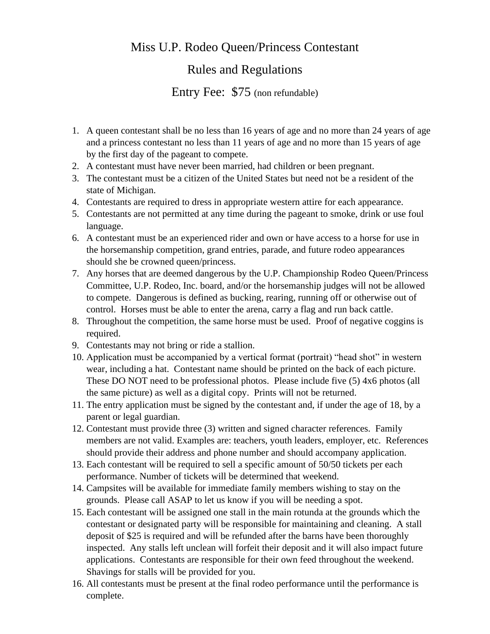## Miss U.P. Rodeo Queen/Princess Contestant

## Rules and Regulations

Entry Fee: \$75 (non refundable)

- 1. A queen contestant shall be no less than 16 years of age and no more than 24 years of age and a princess contestant no less than 11 years of age and no more than 15 years of age by the first day of the pageant to compete.
- 2. A contestant must have never been married, had children or been pregnant.
- 3. The contestant must be a citizen of the United States but need not be a resident of the state of Michigan.
- 4. Contestants are required to dress in appropriate western attire for each appearance.
- 5. Contestants are not permitted at any time during the pageant to smoke, drink or use foul language.
- 6. A contestant must be an experienced rider and own or have access to a horse for use in the horsemanship competition, grand entries, parade, and future rodeo appearances should she be crowned queen/princess.
- 7. Any horses that are deemed dangerous by the U.P. Championship Rodeo Queen/Princess Committee, U.P. Rodeo, Inc. board, and/or the horsemanship judges will not be allowed to compete. Dangerous is defined as bucking, rearing, running off or otherwise out of control. Horses must be able to enter the arena, carry a flag and run back cattle.
- 8. Throughout the competition, the same horse must be used. Proof of negative coggins is required.
- 9. Contestants may not bring or ride a stallion.
- 10. Application must be accompanied by a vertical format (portrait) "head shot" in western wear, including a hat. Contestant name should be printed on the back of each picture. These DO NOT need to be professional photos. Please include five (5) 4x6 photos (all the same picture) as well as a digital copy. Prints will not be returned.
- 11. The entry application must be signed by the contestant and, if under the age of 18, by a parent or legal guardian.
- 12. Contestant must provide three (3) written and signed character references. Family members are not valid. Examples are: teachers, youth leaders, employer, etc. References should provide their address and phone number and should accompany application.
- 13. Each contestant will be required to sell a specific amount of 50/50 tickets per each performance. Number of tickets will be determined that weekend.
- 14. Campsites will be available for immediate family members wishing to stay on the grounds. Please call ASAP to let us know if you will be needing a spot.
- 15. Each contestant will be assigned one stall in the main rotunda at the grounds which the contestant or designated party will be responsible for maintaining and cleaning. A stall deposit of \$25 is required and will be refunded after the barns have been thoroughly inspected. Any stalls left unclean will forfeit their deposit and it will also impact future applications. Contestants are responsible for their own feed throughout the weekend. Shavings for stalls will be provided for you.
- 16. All contestants must be present at the final rodeo performance until the performance is complete.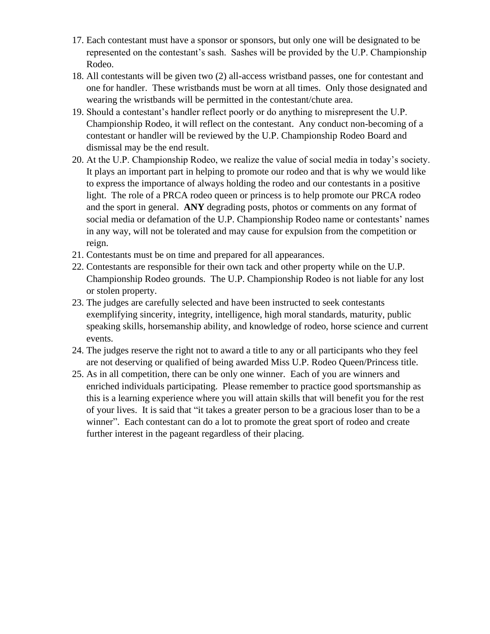- 17. Each contestant must have a sponsor or sponsors, but only one will be designated to be represented on the contestant's sash. Sashes will be provided by the U.P. Championship Rodeo.
- 18. All contestants will be given two (2) all-access wristband passes, one for contestant and one for handler. These wristbands must be worn at all times. Only those designated and wearing the wristbands will be permitted in the contestant/chute area.
- 19. Should a contestant's handler reflect poorly or do anything to misrepresent the U.P. Championship Rodeo, it will reflect on the contestant. Any conduct non-becoming of a contestant or handler will be reviewed by the U.P. Championship Rodeo Board and dismissal may be the end result.
- 20. At the U.P. Championship Rodeo, we realize the value of social media in today's society. It plays an important part in helping to promote our rodeo and that is why we would like to express the importance of always holding the rodeo and our contestants in a positive light. The role of a PRCA rodeo queen or princess is to help promote our PRCA rodeo and the sport in general. **ANY** degrading posts, photos or comments on any format of social media or defamation of the U.P. Championship Rodeo name or contestants' names in any way, will not be tolerated and may cause for expulsion from the competition or reign.
- 21. Contestants must be on time and prepared for all appearances.
- 22. Contestants are responsible for their own tack and other property while on the U.P. Championship Rodeo grounds. The U.P. Championship Rodeo is not liable for any lost or stolen property.
- 23. The judges are carefully selected and have been instructed to seek contestants exemplifying sincerity, integrity, intelligence, high moral standards, maturity, public speaking skills, horsemanship ability, and knowledge of rodeo, horse science and current events.
- 24. The judges reserve the right not to award a title to any or all participants who they feel are not deserving or qualified of being awarded Miss U.P. Rodeo Queen/Princess title.
- 25. As in all competition, there can be only one winner. Each of you are winners and enriched individuals participating. Please remember to practice good sportsmanship as this is a learning experience where you will attain skills that will benefit you for the rest of your lives. It is said that "it takes a greater person to be a gracious loser than to be a winner". Each contestant can do a lot to promote the great sport of rodeo and create further interest in the pageant regardless of their placing.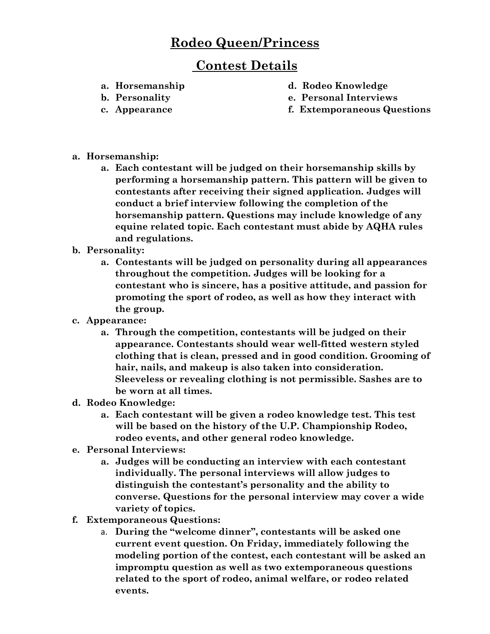## **Rodeo Queen/Princess**

## **Contest Details**

- 
- **a. Horsemanship d. Rodeo Knowledge**
- 
- 
- **b. Personality e. Personal Interviews**
- **c. Appearance f. Extemporaneous Questions**
- a. **Horsemanship**:
	- a. Each contestant will be judged on their horsemanship skills by performing a horsemanship pattern. This pattern will be given to contestants after receiving their signed application. Judges will conduct a brief interview following the completion of the horsemanship pattern. Questions may include knowledge of any equine related topic. Each contestant must abide by AQHA rules and regulations.
- b. **Personality**:
	- a. Contestants will be judged on personality during all appearances throughout the competition. Judges will be looking for a contestant who is sincere, has a positive attitude, and passion for promoting the sport of rodeo, as well as how they interact with the group.
- c. **Appearance**:
	- a. Through the competition, contestants will be judged on their appearance. Contestants should wear well-fitted western styled clothing that is clean, pressed and in good condition. Grooming of hair, nails, and makeup is also taken into consideration. Sleeveless or revealing clothing is not permissible. Sashes are to be worn at all times.
- d. **Rodeo Knowledge**:
	- a. Each contestant will be given a rodeo knowledge test. This test will be based on the history of the U.P. Championship Rodeo, rodeo events, and other general rodeo knowledge.
- e. **Personal Interviews**:
	- a. Judges will be conducting an interview with each contestant individually. The personal interviews will allow judges to distinguish the contestant's personality and the ability to converse. Questions for the personal interview may cover a wide variety of topics.
- f. **Extemporaneous Questions**:
	- a. During the "welcome dinner", contestants will be asked one current event question. On Friday, immediately following the modeling portion of the contest, each contestant will be asked an impromptu question as well as two extemporaneous questions related to the sport of rodeo, animal welfare, or rodeo related events.